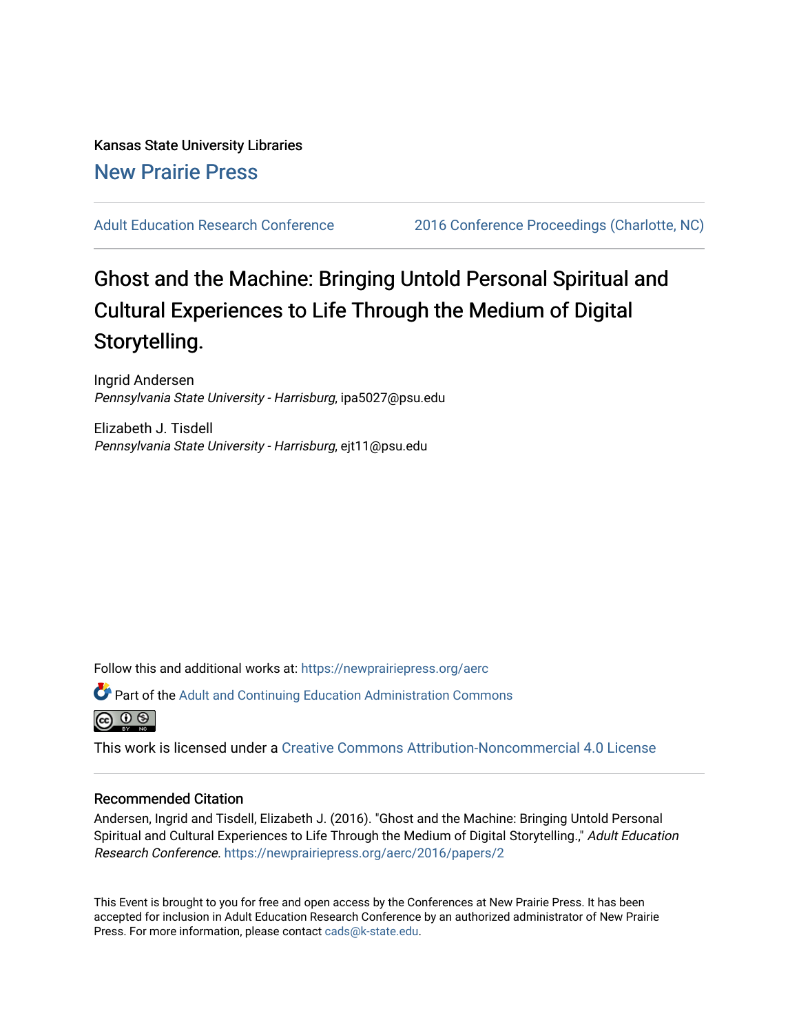# Kansas State University Libraries [New Prairie Press](https://newprairiepress.org/)

[Adult Education Research Conference](https://newprairiepress.org/aerc) [2016 Conference Proceedings \(Charlotte, NC\)](https://newprairiepress.org/aerc/2016) 

# Ghost and the Machine: Bringing Untold Personal Spiritual and Cultural Experiences to Life Through the Medium of Digital Storytelling.

Ingrid Andersen Pennsylvania State University - Harrisburg, ipa5027@psu.edu

Elizabeth J. Tisdell Pennsylvania State University - Harrisburg, ejt11@psu.edu

Follow this and additional works at: [https://newprairiepress.org/aerc](https://newprairiepress.org/aerc?utm_source=newprairiepress.org%2Faerc%2F2016%2Fpapers%2F2&utm_medium=PDF&utm_campaign=PDFCoverPages)

Part of the [Adult and Continuing Education Administration Commons](http://network.bepress.com/hgg/discipline/789?utm_source=newprairiepress.org%2Faerc%2F2016%2Fpapers%2F2&utm_medium=PDF&utm_campaign=PDFCoverPages)

ര  $\circ$ 

This work is licensed under a [Creative Commons Attribution-Noncommercial 4.0 License](https://creativecommons.org/licenses/by-nc/4.0/)

# Recommended Citation

Andersen, Ingrid and Tisdell, Elizabeth J. (2016). "Ghost and the Machine: Bringing Untold Personal Spiritual and Cultural Experiences to Life Through the Medium of Digital Storytelling." Adult Education Research Conference. <https://newprairiepress.org/aerc/2016/papers/2>

This Event is brought to you for free and open access by the Conferences at New Prairie Press. It has been accepted for inclusion in Adult Education Research Conference by an authorized administrator of New Prairie Press. For more information, please contact [cads@k-state.edu.](mailto:cads@k-state.edu)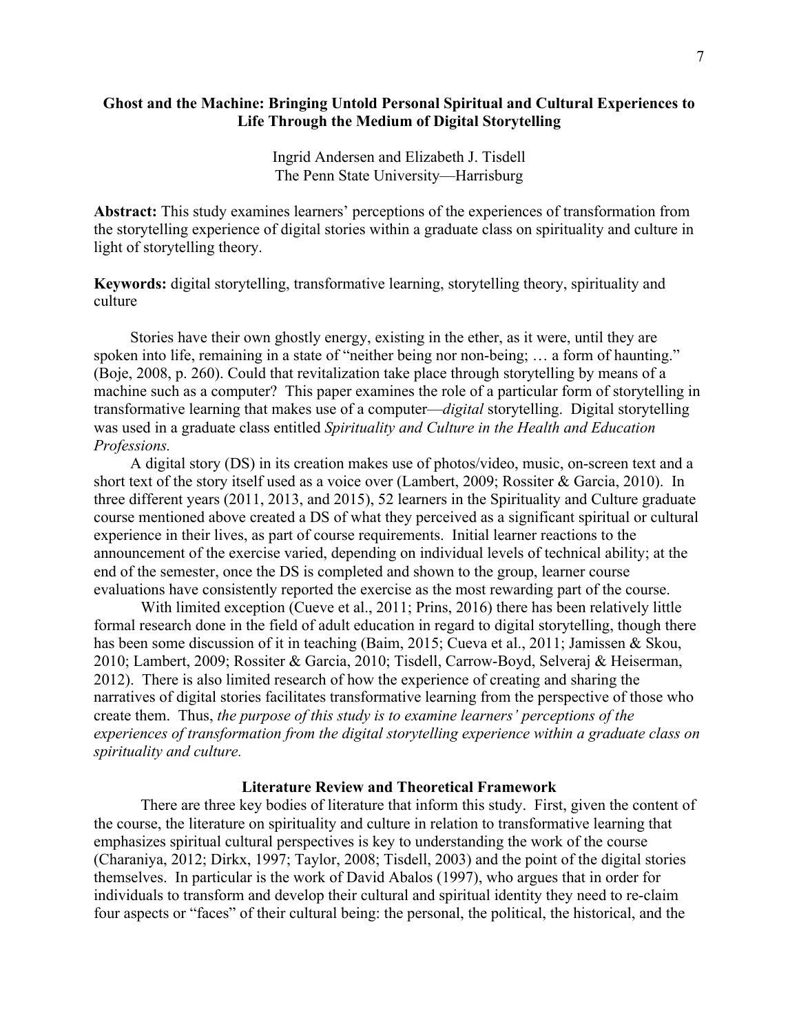# **Ghost and the Machine: Bringing Untold Personal Spiritual and Cultural Experiences to Life Through the Medium of Digital Storytelling**

Ingrid Andersen and Elizabeth J. Tisdell The Penn State University—Harrisburg

**Abstract:** This study examines learners' perceptions of the experiences of transformation from the storytelling experience of digital stories within a graduate class on spirituality and culture in light of storytelling theory.

**Keywords:** digital storytelling, transformative learning, storytelling theory, spirituality and culture

Stories have their own ghostly energy, existing in the ether, as it were, until they are spoken into life, remaining in a state of "neither being nor non-being; ... a form of haunting." (Boje, 2008, p. 260). Could that revitalization take place through storytelling by means of a machine such as a computer? This paper examines the role of a particular form of storytelling in transformative learning that makes use of a computer—*digital* storytelling. Digital storytelling was used in a graduate class entitled *Spirituality and Culture in the Health and Education Professions.*

A digital story (DS) in its creation makes use of photos/video, music, on-screen text and a short text of the story itself used as a voice over (Lambert, 2009; Rossiter & Garcia, 2010). In three different years (2011, 2013, and 2015), 52 learners in the Spirituality and Culture graduate course mentioned above created a DS of what they perceived as a significant spiritual or cultural experience in their lives, as part of course requirements. Initial learner reactions to the announcement of the exercise varied, depending on individual levels of technical ability; at the end of the semester, once the DS is completed and shown to the group, learner course evaluations have consistently reported the exercise as the most rewarding part of the course.

With limited exception (Cueve et al., 2011; Prins, 2016) there has been relatively little formal research done in the field of adult education in regard to digital storytelling, though there has been some discussion of it in teaching (Baim, 2015; Cueva et al., 2011; Jamissen & Skou, 2010; Lambert, 2009; Rossiter & Garcia, 2010; Tisdell, Carrow-Boyd, Selveraj & Heiserman, 2012). There is also limited research of how the experience of creating and sharing the narratives of digital stories facilitates transformative learning from the perspective of those who create them. Thus, *the purpose of this study is to examine learners' perceptions of the experiences of transformation from the digital storytelling experience within a graduate class on spirituality and culture.*

## **Literature Review and Theoretical Framework**

There are three key bodies of literature that inform this study. First, given the content of the course, the literature on spirituality and culture in relation to transformative learning that emphasizes spiritual cultural perspectives is key to understanding the work of the course (Charaniya, 2012; Dirkx, 1997; Taylor, 2008; Tisdell, 2003) and the point of the digital stories themselves. In particular is the work of David Abalos (1997), who argues that in order for individuals to transform and develop their cultural and spiritual identity they need to re-claim four aspects or "faces" of their cultural being: the personal, the political, the historical, and the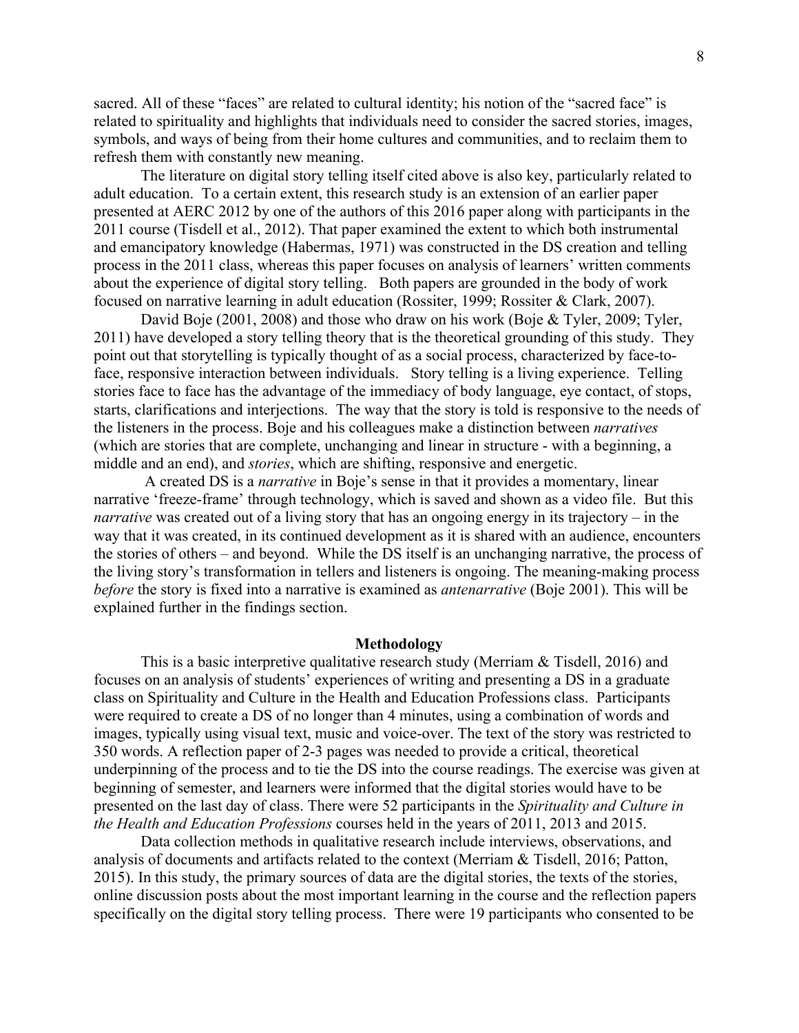sacred. All of these "faces" are related to cultural identity; his notion of the "sacred face" is related to spirituality and highlights that individuals need to consider the sacred stories, images, symbols, and ways of being from their home cultures and communities, and to reclaim them to refresh them with constantly new meaning.

The literature on digital story telling itself cited above is also key, particularly related to adult education. To a certain extent, this research study is an extension of an earlier paper presented at AERC 2012 by one of the authors of this 2016 paper along with participants in the 2011 course (Tisdell et al., 2012). That paper examined the extent to which both instrumental and emancipatory knowledge (Habermas, 1971) was constructed in the DS creation and telling process in the 2011 class, whereas this paper focuses on analysis of learners' written comments about the experience of digital story telling. Both papers are grounded in the body of work focused on narrative learning in adult education (Rossiter, 1999; Rossiter & Clark, 2007).

David Boje (2001, 2008) and those who draw on his work (Boje & Tyler, 2009; Tyler, 2011) have developed a story telling theory that is the theoretical grounding of this study. They point out that storytelling is typically thought of as a social process, characterized by face-toface, responsive interaction between individuals. Story telling is a living experience. Telling stories face to face has the advantage of the immediacy of body language, eye contact, of stops, starts, clarifications and interjections. The way that the story is told is responsive to the needs of the listeners in the process. Boje and his colleagues make a distinction between *narratives* (which are stories that are complete, unchanging and linear in structure - with a beginning, a middle and an end), and *stories*, which are shifting, responsive and energetic.

 A created DS is a *narrative* in Boje's sense in that it provides a momentary, linear narrative 'freeze-frame' through technology, which is saved and shown as a video file. But this *narrative* was created out of a living story that has an ongoing energy in its trajectory – in the way that it was created, in its continued development as it is shared with an audience, encounters the stories of others – and beyond. While the DS itself is an unchanging narrative, the process of the living story's transformation in tellers and listeners is ongoing. The meaning-making process *before* the story is fixed into a narrative is examined as *antenarrative* (Boje 2001). This will be explained further in the findings section.

#### **Methodology**

This is a basic interpretive qualitative research study (Merriam & Tisdell, 2016) and focuses on an analysis of students' experiences of writing and presenting a DS in a graduate class on Spirituality and Culture in the Health and Education Professions class. Participants were required to create a DS of no longer than 4 minutes, using a combination of words and images, typically using visual text, music and voice-over. The text of the story was restricted to 350 words. A reflection paper of 2-3 pages was needed to provide a critical, theoretical underpinning of the process and to tie the DS into the course readings. The exercise was given at beginning of semester, and learners were informed that the digital stories would have to be presented on the last day of class. There were 52 participants in the *Spirituality and Culture in the Health and Education Professions* courses held in the years of 2011, 2013 and 2015.

Data collection methods in qualitative research include interviews, observations, and analysis of documents and artifacts related to the context (Merriam & Tisdell, 2016; Patton, 2015). In this study, the primary sources of data are the digital stories, the texts of the stories, online discussion posts about the most important learning in the course and the reflection papers specifically on the digital story telling process. There were 19 participants who consented to be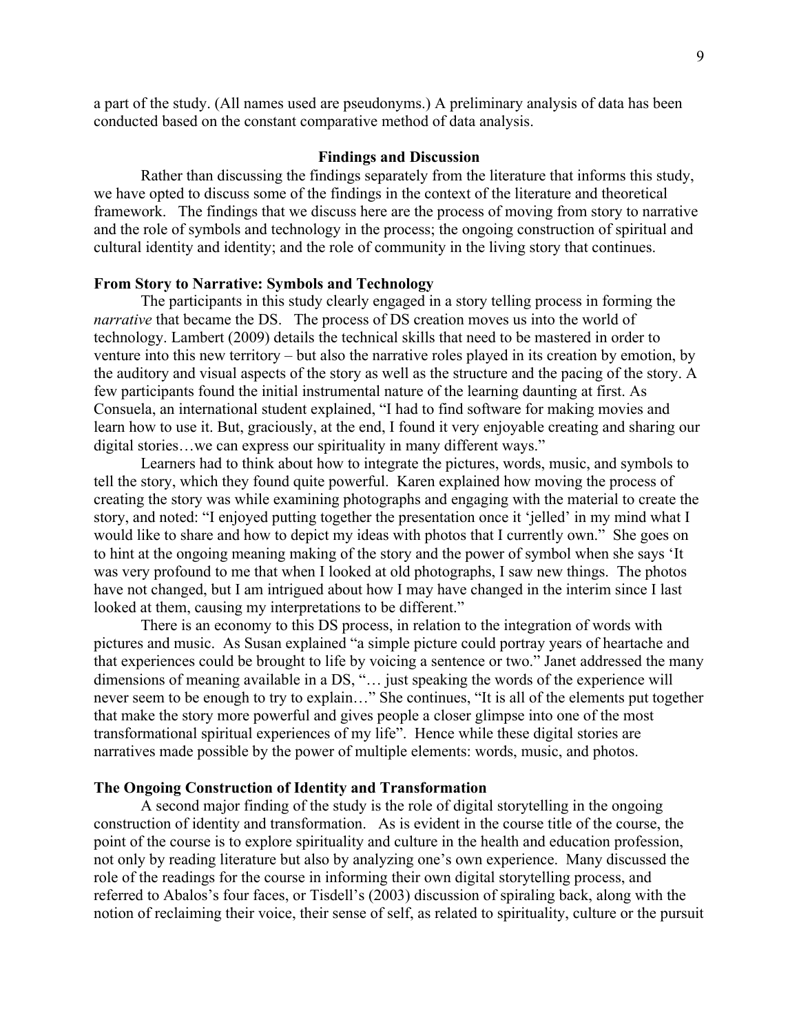a part of the study. (All names used are pseudonyms.) A preliminary analysis of data has been conducted based on the constant comparative method of data analysis.

## **Findings and Discussion**

Rather than discussing the findings separately from the literature that informs this study, we have opted to discuss some of the findings in the context of the literature and theoretical framework. The findings that we discuss here are the process of moving from story to narrative and the role of symbols and technology in the process; the ongoing construction of spiritual and cultural identity and identity; and the role of community in the living story that continues.

## **From Story to Narrative: Symbols and Technology**

The participants in this study clearly engaged in a story telling process in forming the *narrative* that became the DS. The process of DS creation moves us into the world of technology. Lambert (2009) details the technical skills that need to be mastered in order to venture into this new territory – but also the narrative roles played in its creation by emotion, by the auditory and visual aspects of the story as well as the structure and the pacing of the story. A few participants found the initial instrumental nature of the learning daunting at first. As Consuela, an international student explained, "I had to find software for making movies and learn how to use it. But, graciously, at the end, I found it very enjoyable creating and sharing our digital stories…we can express our spirituality in many different ways."

Learners had to think about how to integrate the pictures, words, music, and symbols to tell the story, which they found quite powerful. Karen explained how moving the process of creating the story was while examining photographs and engaging with the material to create the story, and noted: "I enjoyed putting together the presentation once it 'jelled' in my mind what I would like to share and how to depict my ideas with photos that I currently own." She goes on to hint at the ongoing meaning making of the story and the power of symbol when she says 'It was very profound to me that when I looked at old photographs, I saw new things. The photos have not changed, but I am intrigued about how I may have changed in the interim since I last looked at them, causing my interpretations to be different."

There is an economy to this DS process, in relation to the integration of words with pictures and music. As Susan explained "a simple picture could portray years of heartache and that experiences could be brought to life by voicing a sentence or two." Janet addressed the many dimensions of meaning available in a DS, "… just speaking the words of the experience will never seem to be enough to try to explain…" She continues, "It is all of the elements put together that make the story more powerful and gives people a closer glimpse into one of the most transformational spiritual experiences of my life". Hence while these digital stories are narratives made possible by the power of multiple elements: words, music, and photos.

#### **The Ongoing Construction of Identity and Transformation**

A second major finding of the study is the role of digital storytelling in the ongoing construction of identity and transformation. As is evident in the course title of the course, the point of the course is to explore spirituality and culture in the health and education profession, not only by reading literature but also by analyzing one's own experience. Many discussed the role of the readings for the course in informing their own digital storytelling process, and referred to Abalos's four faces, or Tisdell's (2003) discussion of spiraling back, along with the notion of reclaiming their voice, their sense of self, as related to spirituality, culture or the pursuit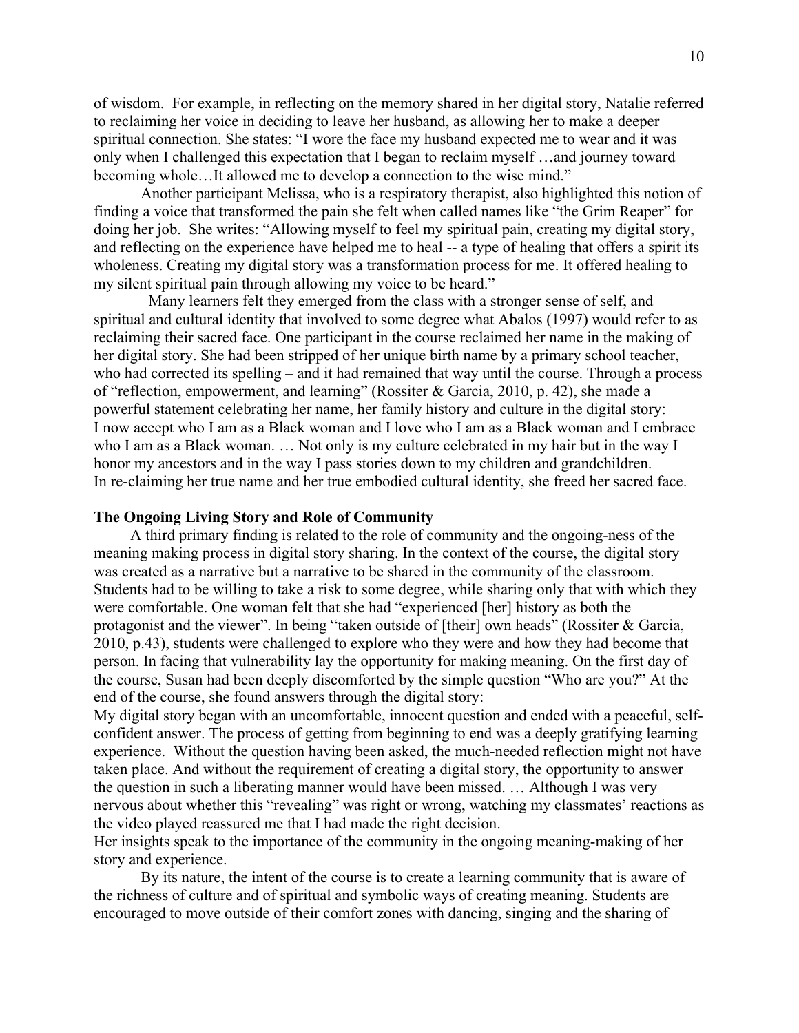of wisdom. For example, in reflecting on the memory shared in her digital story, Natalie referred to reclaiming her voice in deciding to leave her husband, as allowing her to make a deeper spiritual connection. She states: "I wore the face my husband expected me to wear and it was only when I challenged this expectation that I began to reclaim myself …and journey toward becoming whole…It allowed me to develop a connection to the wise mind."

Another participant Melissa, who is a respiratory therapist, also highlighted this notion of finding a voice that transformed the pain she felt when called names like "the Grim Reaper" for doing her job. She writes: "Allowing myself to feel my spiritual pain, creating my digital story, and reflecting on the experience have helped me to heal -- a type of healing that offers a spirit its wholeness. Creating my digital story was a transformation process for me. It offered healing to my silent spiritual pain through allowing my voice to be heard."

 Many learners felt they emerged from the class with a stronger sense of self, and spiritual and cultural identity that involved to some degree what Abalos (1997) would refer to as reclaiming their sacred face. One participant in the course reclaimed her name in the making of her digital story. She had been stripped of her unique birth name by a primary school teacher, who had corrected its spelling – and it had remained that way until the course. Through a process of "reflection, empowerment, and learning" (Rossiter & Garcia, 2010, p. 42), she made a powerful statement celebrating her name, her family history and culture in the digital story: I now accept who I am as a Black woman and I love who I am as a Black woman and I embrace who I am as a Black woman. … Not only is my culture celebrated in my hair but in the way I honor my ancestors and in the way I pass stories down to my children and grandchildren. In re-claiming her true name and her true embodied cultural identity, she freed her sacred face.

## **The Ongoing Living Story and Role of Community**

A third primary finding is related to the role of community and the ongoing-ness of the meaning making process in digital story sharing. In the context of the course, the digital story was created as a narrative but a narrative to be shared in the community of the classroom. Students had to be willing to take a risk to some degree, while sharing only that with which they were comfortable. One woman felt that she had "experienced [her] history as both the protagonist and the viewer". In being "taken outside of [their] own heads" (Rossiter & Garcia, 2010, p.43), students were challenged to explore who they were and how they had become that person. In facing that vulnerability lay the opportunity for making meaning. On the first day of the course, Susan had been deeply discomforted by the simple question "Who are you?" At the end of the course, she found answers through the digital story:

My digital story began with an uncomfortable, innocent question and ended with a peaceful, selfconfident answer. The process of getting from beginning to end was a deeply gratifying learning experience. Without the question having been asked, the much-needed reflection might not have taken place. And without the requirement of creating a digital story, the opportunity to answer the question in such a liberating manner would have been missed. … Although I was very nervous about whether this "revealing" was right or wrong, watching my classmates' reactions as the video played reassured me that I had made the right decision.

Her insights speak to the importance of the community in the ongoing meaning-making of her story and experience.

By its nature, the intent of the course is to create a learning community that is aware of the richness of culture and of spiritual and symbolic ways of creating meaning. Students are encouraged to move outside of their comfort zones with dancing, singing and the sharing of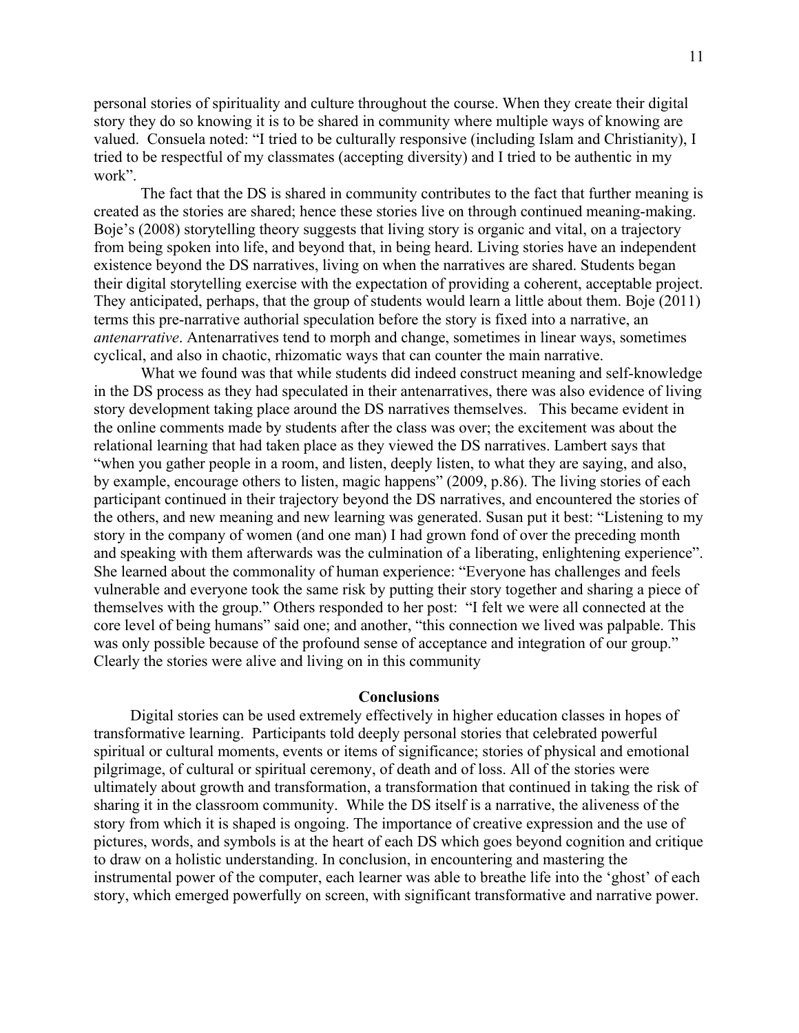personal stories of spirituality and culture throughout the course. When they create their digital story they do so knowing it is to be shared in community where multiple ways of knowing are valued. Consuela noted: "I tried to be culturally responsive (including Islam and Christianity), I tried to be respectful of my classmates (accepting diversity) and I tried to be authentic in my work".

The fact that the DS is shared in community contributes to the fact that further meaning is created as the stories are shared; hence these stories live on through continued meaning-making. Boje's (2008) storytelling theory suggests that living story is organic and vital, on a trajectory from being spoken into life, and beyond that, in being heard. Living stories have an independent existence beyond the DS narratives, living on when the narratives are shared. Students began their digital storytelling exercise with the expectation of providing a coherent, acceptable project. They anticipated, perhaps, that the group of students would learn a little about them. Boje (2011) terms this pre-narrative authorial speculation before the story is fixed into a narrative, an *antenarrative*. Antenarratives tend to morph and change, sometimes in linear ways, sometimes cyclical, and also in chaotic, rhizomatic ways that can counter the main narrative.

What we found was that while students did indeed construct meaning and self-knowledge in the DS process as they had speculated in their antenarratives, there was also evidence of living story development taking place around the DS narratives themselves. This became evident in the online comments made by students after the class was over; the excitement was about the relational learning that had taken place as they viewed the DS narratives. Lambert says that "when you gather people in a room, and listen, deeply listen, to what they are saying, and also, by example, encourage others to listen, magic happens" (2009, p.86). The living stories of each participant continued in their trajectory beyond the DS narratives, and encountered the stories of the others, and new meaning and new learning was generated. Susan put it best: "Listening to my story in the company of women (and one man) I had grown fond of over the preceding month and speaking with them afterwards was the culmination of a liberating, enlightening experience". She learned about the commonality of human experience: "Everyone has challenges and feels vulnerable and everyone took the same risk by putting their story together and sharing a piece of themselves with the group." Others responded to her post: "I felt we were all connected at the core level of being humans" said one; and another, "this connection we lived was palpable. This was only possible because of the profound sense of acceptance and integration of our group." Clearly the stories were alive and living on in this community

#### **Conclusions**

Digital stories can be used extremely effectively in higher education classes in hopes of transformative learning. Participants told deeply personal stories that celebrated powerful spiritual or cultural moments, events or items of significance; stories of physical and emotional pilgrimage, of cultural or spiritual ceremony, of death and of loss. All of the stories were ultimately about growth and transformation, a transformation that continued in taking the risk of sharing it in the classroom community. While the DS itself is a narrative, the aliveness of the story from which it is shaped is ongoing. The importance of creative expression and the use of pictures, words, and symbols is at the heart of each DS which goes beyond cognition and critique to draw on a holistic understanding. In conclusion, in encountering and mastering the instrumental power of the computer, each learner was able to breathe life into the 'ghost' of each story, which emerged powerfully on screen, with significant transformative and narrative power.